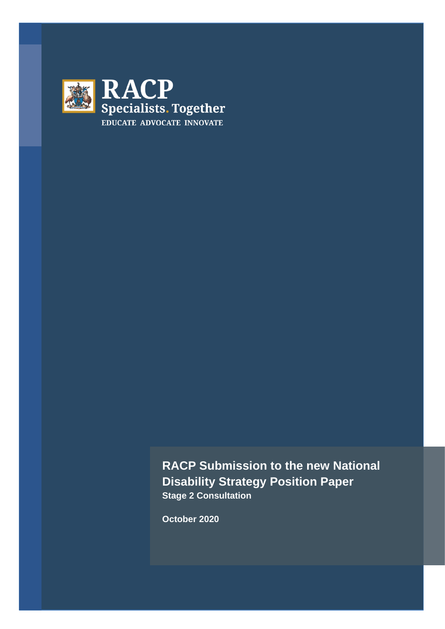

**RACP Submission to the new National Disability Strategy Position Paper Stage 2 Consultation**

**October 2020**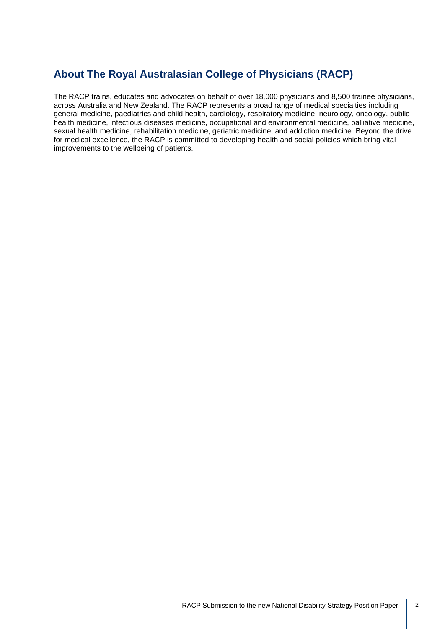## **About The Royal Australasian College of Physicians (RACP)**

The RACP trains, educates and advocates on behalf of over 18,000 physicians and 8,500 trainee physicians, across Australia and New Zealand. The RACP represents a broad range of medical specialties including general medicine, paediatrics and child health, cardiology, respiratory medicine, neurology, oncology, public health medicine, infectious diseases medicine, occupational and environmental medicine, palliative medicine, sexual health medicine, rehabilitation medicine, geriatric medicine, and addiction medicine. Beyond the drive for medical excellence, the RACP is committed to developing health and social policies which bring vital improvements to the wellbeing of patients.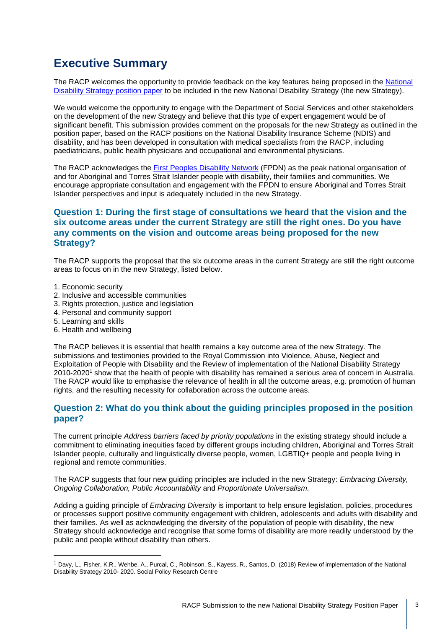# **Executive Summary**

The RACP welcomes the opportunity to provide feedback on the key features being proposed in the National [Disability Strategy position paper](https://engage.dss.gov.au/?page_id=13091) to be included in the new National Disability Strategy (the new Strategy).

We would welcome the opportunity to engage with the Department of Social Services and other stakeholders on the development of the new Strategy and believe that this type of expert engagement would be of significant benefit. This submission provides comment on the proposals for the new Strategy as outlined in the position paper, based on the RACP positions on the National Disability Insurance Scheme (NDIS) and disability, and has been developed in consultation with medical specialists from the RACP, including paediatricians, public health physicians and occupational and environmental physicians.

The RACP acknowledges the First Peoples [Disability Network](https://fpdn.org.au/) (FPDN) as the peak national organisation of and for Aboriginal and Torres Strait Islander people with disability, their families and communities. We encourage appropriate consultation and engagement with the FPDN to ensure Aboriginal and Torres Strait Islander perspectives and input is adequately included in the new Strategy.

#### **Question 1: During the first stage of consultations we heard that the vision and the six outcome areas under the current Strategy are still the right ones. Do you have any comments on the vision and outcome areas being proposed for the new Strategy?**

The RACP supports the proposal that the six outcome areas in the current Strategy are still the right outcome areas to focus on in the new Strategy, listed below.

- 1. Economic security
- 2. Inclusive and accessible communities
- 3. Rights protection, justice and legislation
- 4. Personal and community support
- 5. Learning and skills
- 6. Health and wellbeing

The RACP believes it is essential that health remains a key outcome area of the new Strategy. The submissions and testimonies provided to the Royal Commission into Violence, Abuse, Neglect and Exploitation of People with Disability and the Review of implementation of the National Disability Strategy 2010-2020<sup>1</sup> show that the health of people with disability has remained a serious area of concern in Australia. The RACP would like to emphasise the relevance of health in all the outcome areas, e.g. promotion of human rights, and the resulting necessity for collaboration across the outcome areas.

#### **Question 2: What do you think about the guiding principles proposed in the position paper?**

The current principle *Address barriers faced by priority populations* in the existing strategy should include a commitment to eliminating inequities faced by different groups including children, Aboriginal and Torres Strait Islander people, culturally and linguistically diverse people, women, LGBTIQ+ people and people living in regional and remote communities.

The RACP suggests that four new guiding principles are included in the new Strategy: *Embracing Diversity, Ongoing Collaboration, Public Accountability* and *Proportionate Universalism.*

Adding a guiding principle of *Embracing Diversity* is important to help ensure legislation, policies, procedures or processes support positive community engagement with children, adolescents and adults with disability and their families. As well as acknowledging the diversity of the population of people with disability, the new Strategy should acknowledge and recognise that some forms of disability are more readily understood by the public and people without disability than others.

<sup>1</sup> Davy, L., Fisher, K.R., Wehbe, A., Purcal, C., Robinson, S., Kayess, R., Santos, D. (2018) Review of implementation of the National Disability Strategy 2010- 2020. Social Policy Research Centre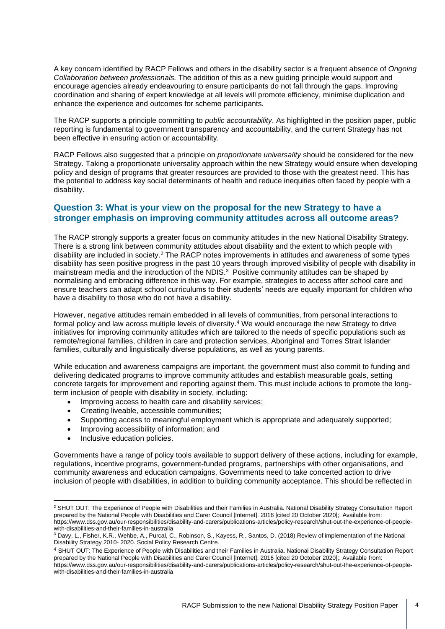A key concern identified by RACP Fellows and others in the disability sector is a frequent absence of *Ongoing Collaboration between professionals.* The addition of this as a new guiding principle would support and encourage agencies already endeavouring to ensure participants do not fall through the gaps. Improving coordination and sharing of expert knowledge at all levels will promote efficiency, minimise duplication and enhance the experience and outcomes for scheme participants.

The RACP supports a principle committing to *public accountability*. As highlighted in the position paper, public reporting is fundamental to government transparency and accountability, and the current Strategy has not been effective in ensuring action or accountability.

RACP Fellows also suggested that a principle on *proportionate universality* should be considered for the new Strategy. Taking a proportionate universality approach within the new Strategy would ensure when developing policy and design of programs that greater resources are provided to those with the greatest need. This has the potential to address key social determinants of health and reduce inequities often faced by people with a disability.

#### **Question 3: What is your view on the proposal for the new Strategy to have a stronger emphasis on improving community attitudes across all outcome areas?**

The RACP strongly supports a greater focus on community attitudes in the new National Disability Strategy. There is a strong link between community attitudes about disability and the extent to which people with disability are included in society.<sup>2</sup> The RACP notes improvements in attitudes and awareness of some types disability has seen positive progress in the past 10 years through improved visibility of people with disability in mainstream media and the introduction of the NDIS.<sup>3</sup> Positive community attitudes can be shaped by normalising and embracing difference in this way. For example, strategies to access after school care and ensure teachers can adapt school curriculums to their students' needs are equally important for children who have a disability to those who do not have a disability.

However, negative attitudes remain embedded in all levels of communities, from personal interactions to formal policy and law across multiple levels of diversity.<sup>4</sup> We would encourage the new Strategy to drive initiatives for improving community attitudes which are tailored to the needs of specific populations such as remote/regional families, children in care and protection services, Aboriginal and Torres Strait Islander families, culturally and linguistically diverse populations, as well as young parents.

While education and awareness campaigns are important, the government must also commit to funding and delivering dedicated programs to improve community attitudes and establish measurable goals, setting concrete targets for improvement and reporting against them. This must include actions to promote the longterm inclusion of people with disability in society, including:

- Improving access to health care and disability services;
- Creating liveable, accessible communities;
- Supporting access to meaningful employment which is appropriate and adequately supported;
- Improving accessibility of information; and
- Inclusive education policies.

Governments have a range of policy tools available to support delivery of these actions, including for example, regulations, incentive programs, government-funded programs, partnerships with other organisations, and community awareness and education campaigns. Governments need to take concerted action to drive inclusion of people with disabilities, in addition to building community acceptance. This should be reflected in

<sup>&</sup>lt;sup>2</sup> SHUT OUT: The Experience of People with Disabilities and their Families in Australia. National Disability Strategy Consultation Report prepared by the National People with Disabilities and Carer Council [Internet]. 2016 [cited 20 October 2020];. Available from: https://www.dss.gov.au/our-responsibilities/disability-and-carers/publications-articles/policy-research/shut-out-the-experience-of-peoplewith-disabilities-and-their-families-in-australia

<sup>3</sup> Davy, L., Fisher, K.R., Wehbe, A., Purcal, C., Robinson, S., Kayess, R., Santos, D. (2018) Review of implementation of the National Disability Strategy 2010- 2020. Social Policy Research Centre.

<sup>4</sup> SHUT OUT: The Experience of People with Disabilities and their Families in Australia. National Disability Strategy Consultation Report prepared by the National People with Disabilities and Carer Council [Internet]. 2016 [cited 20 October 2020];. Available from: https://www.dss.gov.au/our-responsibilities/disability-and-carers/publications-articles/policy-research/shut-out-the-experience-of-peoplewith-disabilities-and-their-families-in-australia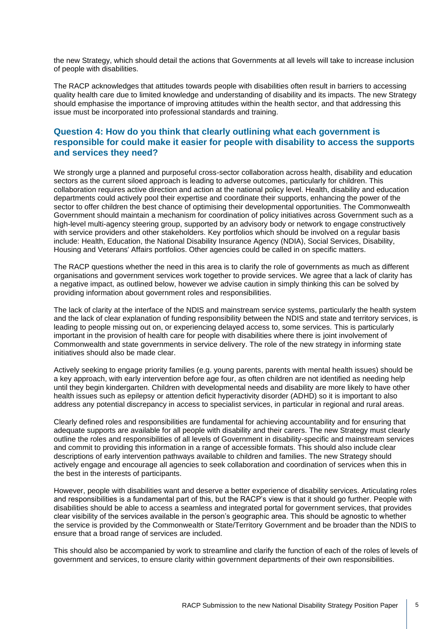the new Strategy, which should detail the actions that Governments at all levels will take to increase inclusion of people with disabilities.

The RACP acknowledges that attitudes towards people with disabilities often result in barriers to accessing quality health care due to limited knowledge and understanding of disability and its impacts. The new Strategy should emphasise the importance of improving attitudes within the health sector, and that addressing this issue must be incorporated into professional standards and training.

### **Question 4: How do you think that clearly outlining what each government is responsible for could make it easier for people with disability to access the supports and services they need?**

We strongly urge a planned and purposeful cross-sector collaboration across health, disability and education sectors as the current siloed approach is leading to adverse outcomes, particularly for children. This collaboration requires active direction and action at the national policy level. Health, disability and education departments could actively pool their expertise and coordinate their supports, enhancing the power of the sector to offer children the best chance of optimising their developmental opportunities. The Commonwealth Government should maintain a mechanism for coordination of policy initiatives across Government such as a high-level multi-agency steering group, supported by an advisory body or network to engage constructively with service providers and other stakeholders. Key portfolios which should be involved on a regular basis include: Health, Education, the National Disability Insurance Agency (NDIA), Social Services, Disability, Housing and Veterans' Affairs portfolios. Other agencies could be called in on specific matters.

The RACP questions whether the need in this area is to clarify the role of governments as much as different organisations and government services work together to provide services. We agree that a lack of clarity has a negative impact, as outlined below, however we advise caution in simply thinking this can be solved by providing information about government roles and responsibilities.

The lack of clarity at the interface of the NDIS and mainstream service systems, particularly the health system and the lack of clear explanation of funding responsibility between the NDIS and state and territory services, is leading to people missing out on, or experiencing delayed access to, some services. This is particularly important in the provision of health care for people with disabilities where there is joint involvement of Commonwealth and state governments in service delivery. The role of the new strategy in informing state initiatives should also be made clear.

Actively seeking to engage priority families (e.g. young parents, parents with mental health issues) should be a key approach, with early intervention before age four, as often children are not identified as needing help until they begin kindergarten. Children with developmental needs and disability are more likely to have other health issues such as epilepsy or attention deficit hyperactivity disorder (ADHD) so it is important to also address any potential discrepancy in access to specialist services, in particular in regional and rural areas.

Clearly defined roles and responsibilities are fundamental for achieving accountability and for ensuring that adequate supports are available for all people with disability and their carers. The new Strategy must clearly outline the roles and responsibilities of all levels of Government in disability-specific and mainstream services and commit to providing this information in a range of accessible formats. This should also include clear descriptions of early intervention pathways available to children and families. The new Strategy should actively engage and encourage all agencies to seek collaboration and coordination of services when this in the best in the interests of participants.

However, people with disabilities want and deserve a better experience of disability services. Articulating roles and responsibilities is a fundamental part of this, but the RACP's view is that it should go further. People with disabilities should be able to access a seamless and integrated portal for government services, that provides clear visibility of the services available in the person's geographic area. This should be agnostic to whether the service is provided by the Commonwealth or State/Territory Government and be broader than the NDIS to ensure that a broad range of services are included.

This should also be accompanied by work to streamline and clarify the function of each of the roles of levels of government and services, to ensure clarity within government departments of their own responsibilities.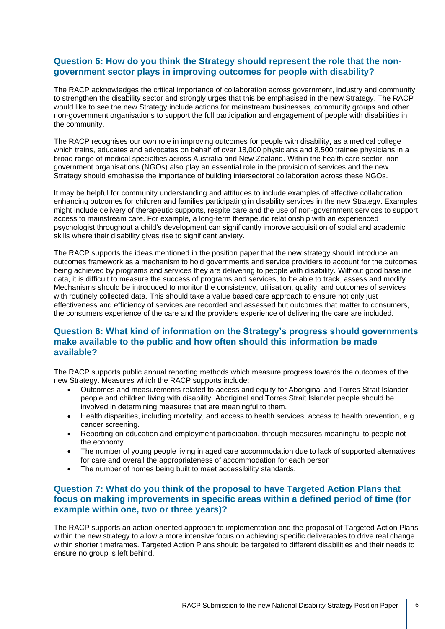#### **Question 5: How do you think the Strategy should represent the role that the nongovernment sector plays in improving outcomes for people with disability?**

The RACP acknowledges the critical importance of collaboration across government, industry and community to strengthen the disability sector and strongly urges that this be emphasised in the new Strategy. The RACP would like to see the new Strategy include actions for mainstream businesses, community groups and other non-government organisations to support the full participation and engagement of people with disabilities in the community.

The RACP recognises our own role in improving outcomes for people with disability, as a medical college which trains, educates and advocates on behalf of over 18,000 physicians and 8,500 trainee physicians in a broad range of medical specialties across Australia and New Zealand. Within the health care sector, nongovernment organisations (NGOs) also play an essential role in the provision of services and the new Strategy should emphasise the importance of building intersectoral collaboration across these NGOs.

It may be helpful for community understanding and attitudes to include examples of effective collaboration enhancing outcomes for children and families participating in disability services in the new Strategy. Examples might include delivery of therapeutic supports, respite care and the use of non-government services to support access to mainstream care. For example, a long-term therapeutic relationship with an experienced psychologist throughout a child's development can significantly improve acquisition of social and academic skills where their disability gives rise to significant anxiety.

The RACP supports the ideas mentioned in the position paper that the new strategy should introduce an outcomes framework as a mechanism to hold governments and service providers to account for the outcomes being achieved by programs and services they are delivering to people with disability. Without good baseline data, it is difficult to measure the success of programs and services, to be able to track, assess and modify. Mechanisms should be introduced to monitor the consistency, utilisation, quality, and outcomes of services with routinely collected data. This should take a value based care approach to ensure not only just effectiveness and efficiency of services are recorded and assessed but outcomes that matter to consumers, the consumers experience of the care and the providers experience of delivering the care are included.

#### **Question 6: What kind of information on the Strategy's progress should governments make available to the public and how often should this information be made available?**

The RACP supports public annual reporting methods which measure progress towards the outcomes of the new Strategy. Measures which the RACP supports include:

- Outcomes and measurements related to access and equity for Aboriginal and Torres Strait Islander people and children living with disability. Aboriginal and Torres Strait Islander people should be involved in determining measures that are meaningful to them.
- Health disparities, including mortality, and access to health services, access to health prevention, e.g. cancer screening.
- Reporting on education and employment participation, through measures meaningful to people not the economy.
- The number of young people living in aged care accommodation due to lack of supported alternatives for care and overall the appropriateness of accommodation for each person.
- The number of homes being built to meet accessibility standards.

#### **Question 7: What do you think of the proposal to have Targeted Action Plans that focus on making improvements in specific areas within a defined period of time (for example within one, two or three years)?**

The RACP supports an action-oriented approach to implementation and the proposal of Targeted Action Plans within the new strategy to allow a more intensive focus on achieving specific deliverables to drive real change within shorter timeframes. Targeted Action Plans should be targeted to different disabilities and their needs to ensure no group is left behind.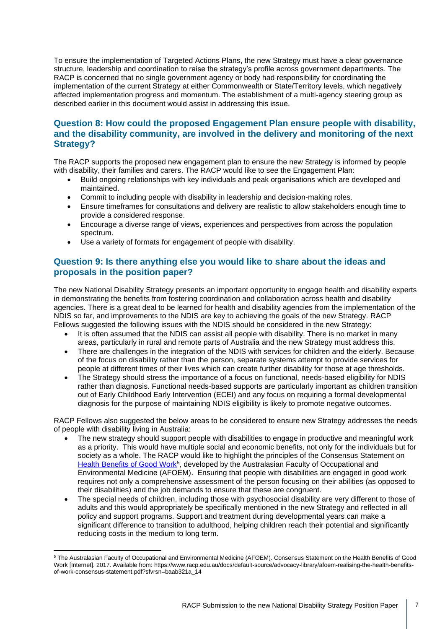To ensure the implementation of Targeted Actions Plans, the new Strategy must have a clear governance structure, leadership and coordination to raise the strategy's profile across government departments. The RACP is concerned that no single government agency or body had responsibility for coordinating the implementation of the current Strategy at either Commonwealth or State/Territory levels, which negatively affected implementation progress and momentum. The establishment of a multi-agency steering group as described earlier in this document would assist in addressing this issue.

#### **Question 8: How could the proposed Engagement Plan ensure people with disability, and the disability community, are involved in the delivery and monitoring of the next Strategy?**

The RACP supports the proposed new engagement plan to ensure the new Strategy is informed by people with disability, their families and carers. The RACP would like to see the Engagement Plan:

- Build ongoing relationships with key individuals and peak organisations which are developed and maintained.
- Commit to including people with disability in leadership and decision-making roles.
- Ensure timeframes for consultations and delivery are realistic to allow stakeholders enough time to provide a considered response.
- Encourage a diverse range of views, experiences and perspectives from across the population spectrum.
- Use a variety of formats for engagement of people with disability.

#### **Question 9: Is there anything else you would like to share about the ideas and proposals in the position paper?**

The new National Disability Strategy presents an important opportunity to engage health and disability experts in demonstrating the benefits from fostering coordination and collaboration across health and disability agencies. There is a great deal to be learned for health and disability agencies from the implementation of the NDIS so far, and improvements to the NDIS are key to achieving the goals of the new Strategy. RACP Fellows suggested the following issues with the NDIS should be considered in the new Strategy:

- It is often assumed that the NDIS can assist all people with disability. There is no market in many areas, particularly in rural and remote parts of Australia and the new Strategy must address this.
- There are challenges in the integration of the NDIS with services for children and the elderly. Because of the focus on disability rather than the person, separate systems attempt to provide services for people at different times of their lives which can create further disability for those at age thresholds.
- The Strategy should stress the importance of a focus on functional, needs-based eligibility for NDIS rather than diagnosis. Functional needs-based supports are particularly important as children transition out of Early Childhood Early Intervention (ECEI) and any focus on requiring a formal developmental diagnosis for the purpose of maintaining NDIS eligibility is likely to promote negative outcomes.

RACP Fellows also suggested the below areas to be considered to ensure new Strategy addresses the needs of people with disability living in Australia:

- The new strategy should support people with disabilities to engage in productive and meaningful work as a priority. This would have multiple social and economic benefits, not only for the individuals but for society as a whole. The RACP would like to highlight the principles of the Consensus Statement on [Health Benefits of Good Work](https://www.racp.edu.au/docs/default-source/advocacy-library/afoem-realising-the-health-benefits-of-work-consensus-statement.pdf?sfvrsn=baab321a_14)<sup>5</sup>, developed by the Australasian Faculty of Occupational and Environmental Medicine (AFOEM). Ensuring that people with disabilities are engaged in good work requires not only a comprehensive assessment of the person focusing on their abilities (as opposed to their disabilities) and the job demands to ensure that these are congruent.
- The special needs of children, including those with psychosocial disability are very different to those of adults and this would appropriately be specifically mentioned in the new Strategy and reflected in all policy and support programs. Support and treatment during developmental years can make a significant difference to transition to adulthood, helping children reach their potential and significantly reducing costs in the medium to long term.

<sup>5</sup> The Australasian Faculty of Occupational and Environmental Medicine (AFOEM). Consensus Statement on the Health Benefits of Good Work [Internet]. 2017. Available from: https://www.racp.edu.au/docs/default-source/advocacy-library/afoem-realising-the-health-benefitsof-work-consensus-statement.pdf?sfvrsn=baab321a\_14